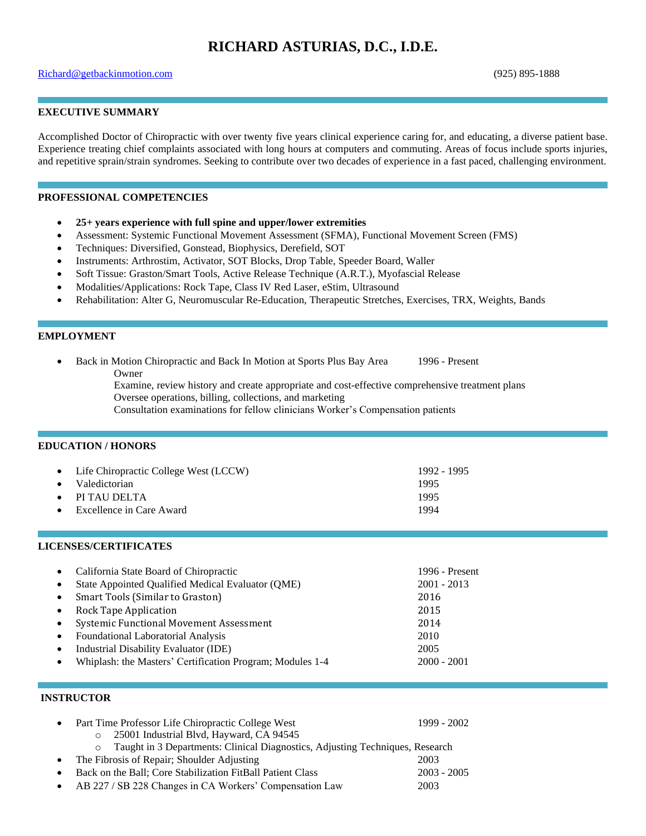# **RICHARD ASTURIAS, D.C., I.D.E.**

#### [Richard@getbackinmotion.com](mailto:Richard@getbackinmotion.com) (925) 895-1888

# **EXECUTIVE SUMMARY**

Accomplished Doctor of Chiropractic with over twenty five years clinical experience caring for, and educating, a diverse patient base. Experience treating chief complaints associated with long hours at computers and commuting. Areas of focus include sports injuries, and repetitive sprain/strain syndromes. Seeking to contribute over two decades of experience in a fast paced, challenging environment.

#### **PROFESSIONAL COMPETENCIES**

- **25+ years experience with full spine and upper/lower extremities**
- Assessment: Systemic Functional Movement Assessment (SFMA), Functional Movement Screen (FMS)
- Techniques: Diversified, Gonstead, Biophysics, Derefield, SOT
- Instruments: Arthrostim, Activator, SOT Blocks, Drop Table, Speeder Board, Waller
- Soft Tissue: Graston/Smart Tools, Active Release Technique (A.R.T.), Myofascial Release
- Modalities/Applications: Rock Tape, Class IV Red Laser, eStim, Ultrasound
- Rehabilitation: Alter G, Neuromuscular Re-Education, Therapeutic Stretches, Exercises, TRX, Weights, Bands

#### **EMPLOYMENT**

- Back in Motion Chiropractic and Back In Motion at Sports Plus Bay Area 1996 Present Owner
	- Examine, review history and create appropriate and cost-effective comprehensive treatment plans Oversee operations, billing, collections, and marketing

Consultation examinations for fellow clinicians Worker's Compensation patients

#### **EDUCATION / HONORS**

| • Life Chiropractic College West (LCCW) | 1992 - 1995 |
|-----------------------------------------|-------------|
| • Valedictorian                         | 1995        |
| $\bullet$ PI TAU DELTA                  | 1995        |
| $\bullet$ Excellence in Care Award      | 1994        |
|                                         |             |

#### **LICENSES/CERTIFICATES**

| $\bullet$ | California State Board of Chiropractic                    | 1996 - Present |
|-----------|-----------------------------------------------------------|----------------|
| $\bullet$ | State Appointed Qualified Medical Evaluator (QME)         | $2001 - 2013$  |
| $\bullet$ | Smart Tools (Similar to Graston)                          | 2016           |
| $\bullet$ | Rock Tape Application                                     | 2015           |
| $\bullet$ | Systemic Functional Movement Assessment                   | 2014           |
| $\bullet$ | <b>Foundational Laboratorial Analysis</b>                 | 2010           |
| $\bullet$ | Industrial Disability Evaluator (IDE)                     | 2005           |
| $\bullet$ | Whiplash: the Masters' Certification Program; Modules 1-4 | $2000 - 2001$  |

# **INSTRUCTOR**

| $\bullet$ | Part Time Professor Life Chiropractic College West                                       | 1999 - 2002   |
|-----------|------------------------------------------------------------------------------------------|---------------|
|           | o 25001 Industrial Blvd, Hayward, CA 94545                                               |               |
|           | Taught in 3 Departments: Clinical Diagnostics, Adjusting Techniques, Research<br>$\circ$ |               |
| $\bullet$ | The Fibrosis of Repair; Shoulder Adjusting                                               | 2003          |
| $\bullet$ | Back on the Ball; Core Stabilization FitBall Patient Class                               | $2003 - 2005$ |
|           | • AB 227 / SB 228 Changes in CA Workers' Compensation Law                                | 2003          |